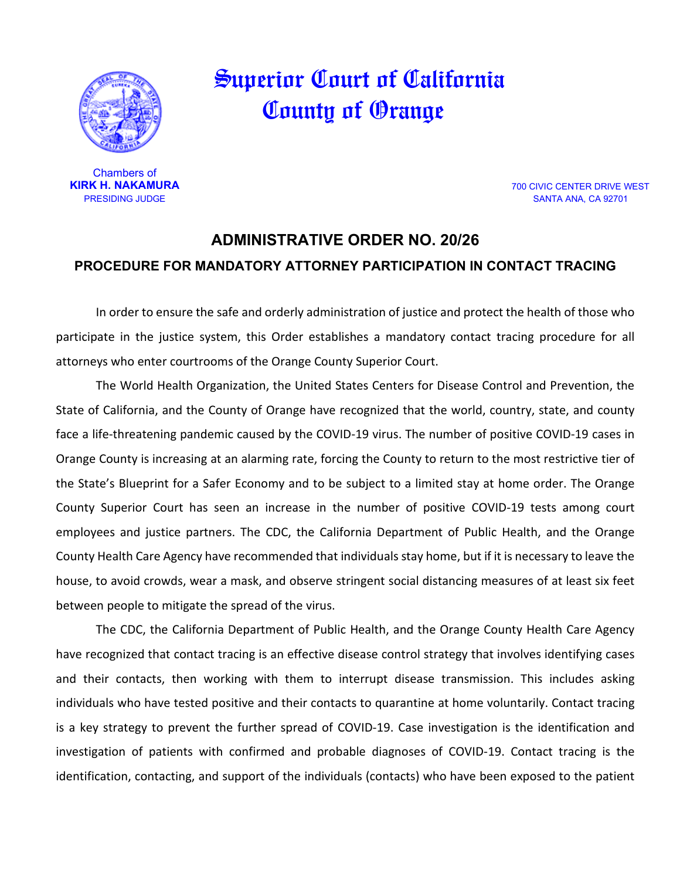

## Superior Court of California County of Orange

Chambers of<br>KIRK H. NAKAMURA

**RK H. NAKAMURA** 700 CIVIC CENTER DRIVE WEST<br>PRESIDING JUDGE 1997 ON A SANTA ANA. CA 92701 SANTA ANA, CA 92701

## **ADMINISTRATIVE ORDER NO. 20/26 PROCEDURE FOR MANDATORY ATTORNEY PARTICIPATION IN CONTACT TRACING**

In order to ensure the safe and orderly administration of justice and protect the health of those who participate in the justice system, this Order establishes a mandatory contact tracing procedure for all attorneys who enter courtrooms of the Orange County Superior Court.

The World Health Organization, the United States Centers for Disease Control and Prevention, the State of California, and the County of Orange have recognized that the world, country, state, and county face a life-threatening pandemic caused by the COVID-19 virus. The number of positive COVID-19 cases in Orange County is increasing at an alarming rate, forcing the County to return to the most restrictive tier of the State's Blueprint for a Safer Economy and to be subject to a limited stay at home order. The Orange County Superior Court has seen an increase in the number of positive COVID-19 tests among court employees and justice partners. The CDC, the California Department of Public Health, and the Orange County Health Care Agency have recommended that individuals stay home, but if it is necessary to leave the house, to avoid crowds, wear a mask, and observe stringent social distancing measures of at least six feet between people to mitigate the spread of the virus.

The CDC, the California Department of Public Health, and the Orange County Health Care Agency have recognized that contact tracing is an effective disease control strategy that involves identifying cases and their contacts, then working with them to interrupt disease transmission. This includes asking individuals who have tested positive and their contacts to quarantine at home voluntarily. Contact tracing is a key strategy to prevent the further spread of COVID-19. Case investigation is the identification and investigation of patients with confirmed and probable diagnoses of COVID-19. Contact tracing is the identification, contacting, and support of the individuals (contacts) who have been exposed to the patient